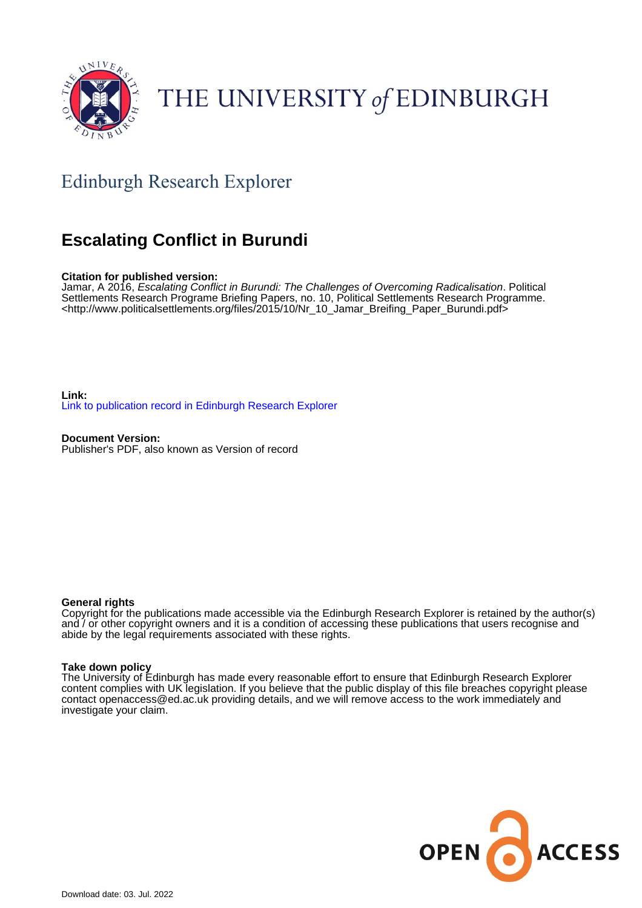

# THE UNIVERSITY of EDINBURGH

# Edinburgh Research Explorer

# **Escalating Conflict in Burundi**

#### **Citation for published version:**

Jamar, A 2016, Escalating Conflict in Burundi: The Challenges of Overcoming Radicalisation. Political Settlements Research Programe Briefing Papers, no. 10, Political Settlements Research Programme. <[http://www.politicalsettlements.org/files/2015/10/Nr\\_10\\_Jamar\\_Breifing\\_Paper\\_Burundi.pdf](http://www.politicalsettlements.org/files/2015/10/Nr_10_Jamar_Breifing_Paper_Burundi.pdf)>

**Link:** [Link to publication record in Edinburgh Research Explorer](https://www.research.ed.ac.uk/en/publications/3895a87f-ab36-420b-a78c-fc533fdc4344)

**Document Version:** Publisher's PDF, also known as Version of record

#### **General rights**

Copyright for the publications made accessible via the Edinburgh Research Explorer is retained by the author(s) and / or other copyright owners and it is a condition of accessing these publications that users recognise and abide by the legal requirements associated with these rights.

#### **Take down policy**

The University of Edinburgh has made every reasonable effort to ensure that Edinburgh Research Explorer content complies with UK legislation. If you believe that the public display of this file breaches copyright please contact openaccess@ed.ac.uk providing details, and we will remove access to the work immediately and investigate your claim.

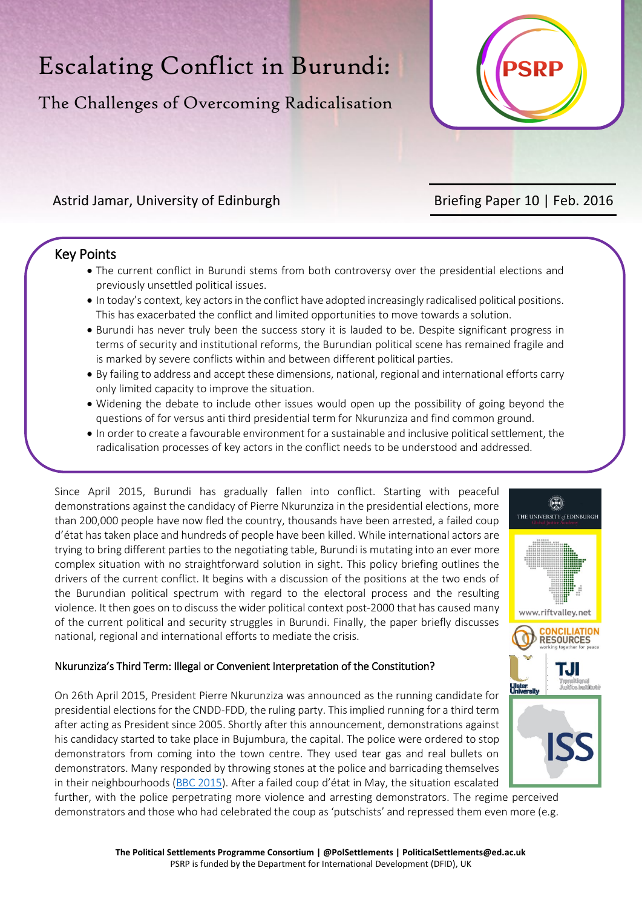# Escalating Conflict in Burundi:

The Challenges of Overcoming Radicalisation

Astrid Jamar, University of Edinburgh

# Key Points

- The current conflict in Burundi stems from both controversy over the presidential elections and previously unsettled political issues.
- In today's context, key actors in the conflict have adopted increasingly radicalised political positions. This has exacerbated the conflict and limited opportunities to move towards a solution.
- Burundi has never truly been the success story it is lauded to be. Despite significant progress in terms of security and institutional reforms, the Burundian political scene has remained fragile and is marked by severe conflicts within and between different political parties.
- By failing to address and accept these dimensions, national, regional and international efforts carry only limited capacity to improve the situation.
- Widening the debate to include other issues would open up the possibility of going beyond the questions of for versus anti third presidential term for Nkurunziza and find common ground.
- In order to create a favourable environment for a sustainable and inclusive political settlement, the radicalisation processes of key actors in the conflict needs to be understood and addressed.

Since April 2015, Burundi has gradually fallen into conflict. Starting with peaceful demonstrations against the candidacy of Pierre Nkurunziza in the presidential elections, more than 200,000 people have now fled the country, thousands have been arrested, a failed coup d'état has taken place and hundreds of people have been killed. While international actors are trying to bring different parties to the negotiating table, Burundi is mutating into an ever more complex situation with no straightforward solution in sight. This policy briefing outlines the drivers of the current conflict. It begins with a discussion of the positions at the two ends of the Burundian political spectrum with regard to the electoral process and the resulting violence. It then goes on to discuss the wider political context post-2000 that has caused many of the current political and security struggles in Burundi. Finally, the paper briefly discusses national, regional and international efforts to mediate the crisis.

# Nkurunziza's Third Term: Illegal or Convenient Interpretation of the Constitution?

On 26th April 2015, President Pierre Nkurunziza was announced as the running candidate for presidential elections for the CNDD-FDD, the ruling party. This implied running for a third term after acting as President since 2005. Shortly after this announcement, demonstrations against his candidacy started to take place in Bujumbura, the capital. The police were ordered to stop demonstrators from coming into the town centre. They used tear gas and real bullets on demonstrators. Many responded by throwing stones at the police and barricading themselves in their neighbourhoods [\(BBC 2015\)](http://www.bbc.co.uk/news/world-africa-32471667). After a failed coup d'état in May, the situation escalated

further, with the police perpetrating more violence and arresting demonstrators. The regime perceived demonstrators and those who had celebrated the coup as 'putschists' and repressed them even more (e.g.





# Briefing Paper 10 | Feb. 2016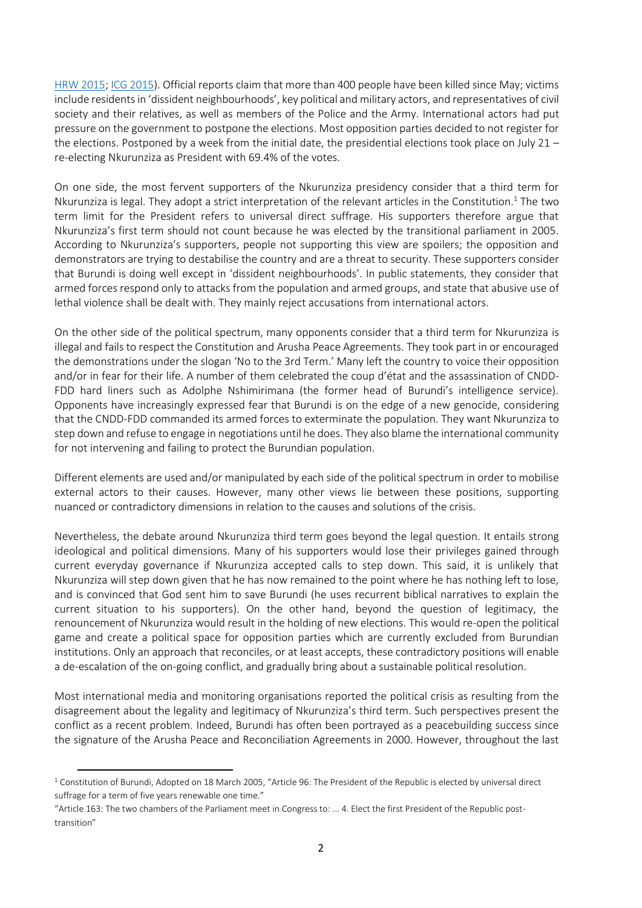[HRW 2015;](https://www.hrw.org/news/2015/05/29/burundi-deadly-police-response-protests) [ICG 2015\)](http://www.crisisgroup.org/~/media/Files/africa/central-africa/burundi/b111-burundi-peace-sacrificed). Official reports claim that more than 400 people have been killed since May; victims include residents in 'dissident neighbourhoods', key political and military actors, and representatives of civil society and their relatives, as well as members of the Police and the Army. International actors had put pressure on the government to postpone the elections. Most opposition parties decided to not register for the elections. Postponed by a week from the initial date, the presidential elections took place on July 21 – re-electing Nkurunziza as President with 69.4% of the votes.

On one side, the most fervent supporters of the Nkurunziza presidency consider that a third term for Nkurunziza is legal. They adopt a strict interpretation of the relevant articles in the Constitution.<sup>1</sup> The two term limit for the President refers to universal direct suffrage. His supporters therefore argue that Nkurunziza's first term should not count because he was elected by the transitional parliament in 2005. According to Nkurunziza's supporters, people not supporting this view are spoilers; the opposition and demonstrators are trying to destabilise the country and are a threat to security. These supporters consider that Burundi is doing well except in 'dissident neighbourhoods'. In public statements, they consider that armed forces respond only to attacks from the population and armed groups, and state that abusive use of lethal violence shall be dealt with. They mainly reject accusations from international actors.

On the other side of the political spectrum, many opponents consider that a third term for Nkurunziza is illegal and fails to respect the Constitution and Arusha Peace Agreements. They took part in or encouraged the demonstrations under the slogan 'No to the 3rd Term.' Many left the country to voice their opposition and/or in fear for their life. A number of them celebrated the coup d'état and the assassination of CNDD-FDD hard liners such as Adolphe Nshimirimana (the former head of Burundi's intelligence service). Opponents have increasingly expressed fear that Burundi is on the edge of a new genocide, considering that the CNDD-FDD commanded its armed forces to exterminate the population. They want Nkurunziza to step down and refuse to engage in negotiations until he does. They also blame the international community for not intervening and failing to protect the Burundian population.

Different elements are used and/or manipulated by each side of the political spectrum in order to mobilise external actors to their causes. However, many other views lie between these positions, supporting nuanced or contradictory dimensions in relation to the causes and solutions of the crisis.

Nevertheless, the debate around Nkurunziza third term goes beyond the legal question. It entails strong ideological and political dimensions. Many of his supporters would lose their privileges gained through current everyday governance if Nkurunziza accepted calls to step down. This said, it is unlikely that Nkurunziza will step down given that he has now remained to the point where he has nothing left to lose, and is convinced that God sent him to save Burundi (he uses recurrent biblical narratives to explain the current situation to his supporters). On the other hand, beyond the question of legitimacy, the renouncement of Nkurunziza would result in the holding of new elections. This would re-open the political game and create a political space for opposition parties which are currently excluded from Burundian institutions. Only an approach that reconciles, or at least accepts, these contradictory positions will enable a de-escalation of the on-going conflict, and gradually bring about a sustainable political resolution.

Most international media and monitoring organisations reported the political crisis as resulting from the disagreement about the legality and legitimacy of Nkurunziza's third term. Such perspectives present the conflict as a recent problem. Indeed, Burundi has often been portrayed as a peacebuilding success since the signature of the Arusha Peace and Reconciliation Agreements in 2000. However, throughout the last

**.** 

<sup>1</sup> Constitution of Burundi, Adopted on 18 March 2005, "Article 96: The President of the Republic is elected by universal direct suffrage for a term of five years renewable one time."

<sup>&</sup>quot;Article 163: The two chambers of the Parliament meet in Congress to: ... 4. Elect the first President of the Republic posttransition"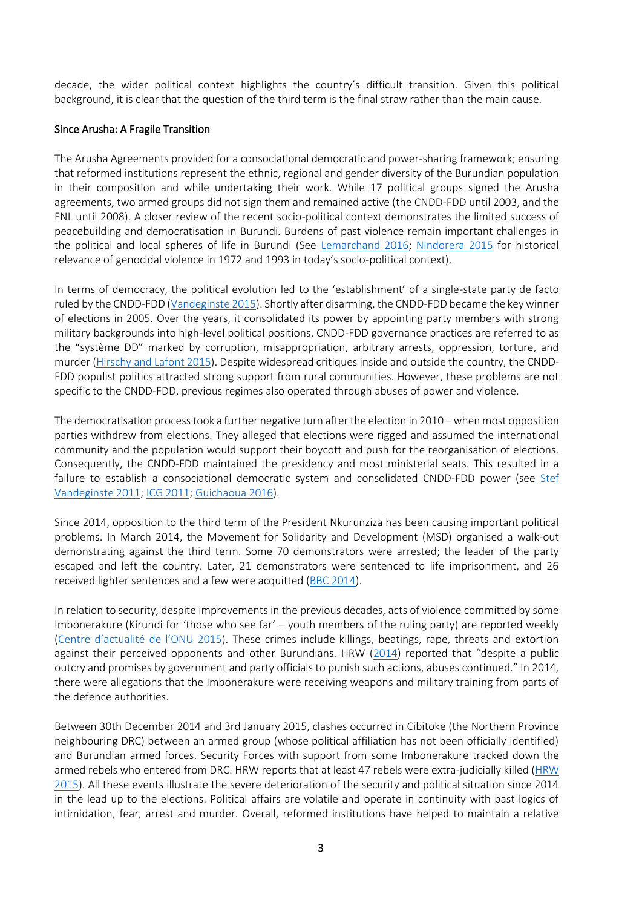decade, the wider political context highlights the country's difficult transition. Given this political background, it is clear that the question of the third term is the final straw rather than the main cause.

## Since Arusha: A Fragile Transition

The Arusha Agreements provided for a consociational democratic and power-sharing framework; ensuring that reformed institutions represent the ethnic, regional and gender diversity of the Burundian population in their composition and while undertaking their work. While 17 political groups signed the Arusha agreements, two armed groups did not sign them and remained active (the CNDD-FDD until 2003, and the FNL until 2008). A closer review of the recent socio-political context demonstrates the limited success of peacebuilding and democratisation in Burundi. Burdens of past violence remain important challenges in the political and local spheres of life in Burundi (See [Lemarchand](http://africanarguments.org/2016/01/22/in-the-shadow-of-genocides-past-can-burundi-be-pulled-back-from-the-brink/) 2016; [Nindorera 2015](https://storify.com/Emayi2011/burundi-caught-in-the-pitfalls-of-its-own-history) for historical relevance of genocidal violence in 1972 and 1993 in today's socio-political context).

In terms of democracy, the political evolution led to the 'establishment' of a single-state party de facto ruled by the CNDD-FDD [\(Vandeginste 2015\)](https://www.uantwerpen.be/en/rg/iob/publications/discussion-papers/). Shortly after disarming, the CNDD-FDD became the key winner of elections in 2005. Over the years, it consolidated its power by appointing party members with strong military backgrounds into high-level political positions. CNDD-FDD governance practices are referred to as the "système DD" marked by corruption, misappropriation, arbitrary arrests, oppression, torture, and murder [\(Hirschy and Lafont 2015\)](https://polaf.hypotheses.org/1142). Despite widespread critiques inside and outside the country, the CNDD-FDD populist politics attracted strong support from rural communities. However, these problems are not specific to the CNDD-FDD, previous regimes also operated through abuses of power and violence.

The democratisation process took a further negative turn after the election in 2010 – when most opposition parties withdrew from elections. They alleged that elections were rigged and assumed the international community and the population would support their boycott and push for the reorganisation of elections. Consequently, the CNDD-FDD maintained the presidency and most ministerial seats. This resulted in a failure to establish a consociational democratic system and consolidated CNDD-FDD power (see [Stef](http://journals.cambridge.org/action/displayAbstract?fromPage=online&aid=8263302&fileId=S0022278X11000061)  [Vandeginste 2011;](http://journals.cambridge.org/action/displayAbstract?fromPage=online&aid=8263302&fileId=S0022278X11000061) [ICG 2011;](http://www.crisisgroup.org/en/regions/africa/central-africa/burundi/169-burundi-from-electoral-boycott-to-political-impasse.aspx) [Guichaoua 2016\)](https://theconversation.com/explainer-whats-gone-wrong-in-burundis-search-for-stability-54014).

Since 2014, opposition to the third term of the President Nkurunziza has been causing important political problems. In March 2014, the Movement for Solidarity and Development (MSD) organised a walk-out demonstrating against the third term. Some 70 demonstrators were arrested; the leader of the party escaped and left the country. Later, 21 demonstrators were sentenced to life imprisonment, and 26 received lighter sentences and a few were acquitted [\(BBC 2014\)](http://www.bbc.co.uk/news/world-africa-26681586).

In relation to security, despite improvements in the previous decades, acts of violence committed by some Imbonerakure (Kirundi for 'those who see far' – youth members of the ruling party) are reported weekly ([Centre d'actualité](file:///C:/Users/cbell5/AppData/Local/Microsoft/Windows/Temporary%20Internet%20Files/Content.Outlook/EZB4UWML/Burundi%20:%20l’ONU%20S’inquiète%20Des%20Violences%20Croissantes%20D’une%20Milice%20Pro-Gouvernementale) de l'ONU 2015). These crimes include killings, beatings, rape, threats and extortion against their perceived opponents and other Burundians. HRW [\(2014](https://www.hrw.org/world-report/2014/country-chapters/burundi)) reported that "despite a public outcry and promises by government and party officials to punish such actions, abuses continued." In 2014, there were allegations that the Imbonerakure were receiving weapons and military training from parts of the defence authorities.

Between 30th December 2014 and 3rd January 2015, clashes occurred in Cibitoke (the Northern Province neighbouring DRC) between an armed group (whose political affiliation has not been officially identified) and Burundian armed forces. Security Forces with support from some Imbonerakure tracked down the armed rebels who entered from DRC. HRW reports that at least 47 rebels were extra-judicially killed [\(HRW](https://www.hrw.org/news/2015/02/12/burundi-summary-executions-army-police)  [2015\)](https://www.hrw.org/news/2015/02/12/burundi-summary-executions-army-police). All these events illustrate the severe deterioration of the security and political situation since 2014 in the lead up to the elections. Political affairs are volatile and operate in continuity with past logics of intimidation, fear, arrest and murder. Overall, reformed institutions have helped to maintain a relative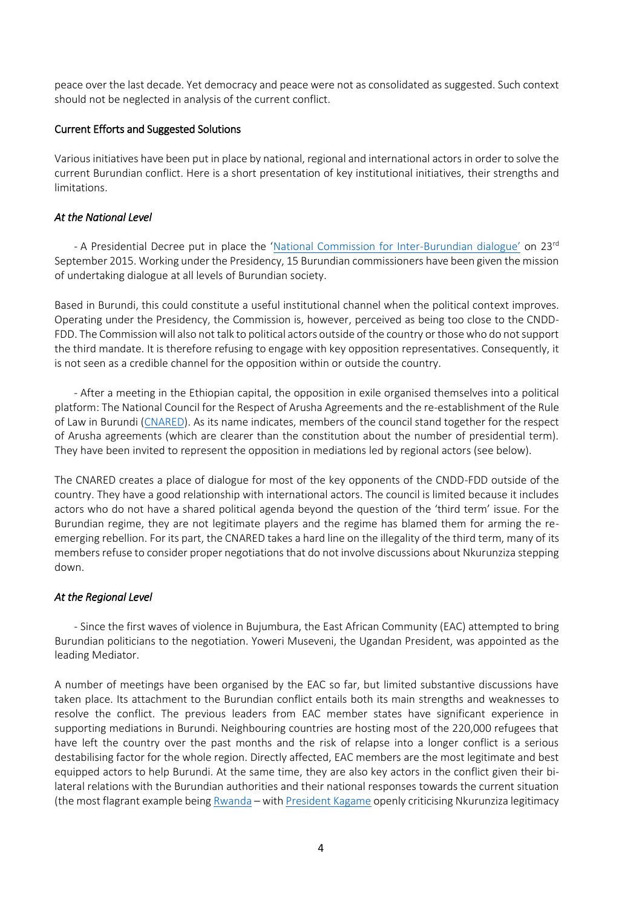peace over the last decade. Yet democracy and peace were not as consolidated as suggested. Such context should not be neglected in analysis of the current conflict.

### Current Efforts and Suggested Solutions

Various initiatives have been put in place by national, regional and international actors in order to solve the current Burundian conflict. Here is a short presentation of key institutional initiatives, their strengths and limitations.

### *At the National Level*

- A Presidential Decree put in place the '[National Commission for Inter-](http://burundi-embassy-oslo.org/onewebmedia/Commission%20Nationale%20de%20Dialogue%20Interburundais.pdf)Burundian dialogue' on 23<sup>rd</sup> September 2015. Working under the Presidency, 15 Burundian commissioners have been given the mission of undertaking dialogue at all levels of Burundian society.

Based in Burundi, this could constitute a useful institutional channel when the political context improves. Operating under the Presidency, the Commission is, however, perceived as being too close to the CNDD-FDD. The Commission will also not talk to political actors outside of the country or those who do not support the third mandate. It is therefore refusing to engage with key opposition representatives. Consequently, it is not seen as a credible channel for the opposition within or outside the country.

- After a meeting in the Ethiopian capital, the opposition in exile organised themselves into a political platform: The National Council for the Respect of Arusha Agreements and the re-establishment of the Rule of Law in Burundi [\(CNARED\)](http://www.iwacu-burundi.org/le-cnared-aujourdhui-et-demain/). As its name indicates, members of the council stand together for the respect of Arusha agreements (which are clearer than the constitution about the number of presidential term). They have been invited to represent the opposition in mediations led by regional actors (see below).

The CNARED creates a place of dialogue for most of the key opponents of the CNDD-FDD outside of the country. They have a good relationship with international actors. The council is limited because it includes actors who do not have a shared political agenda beyond the question of the 'third term' issue. For the Burundian regime, they are not legitimate players and the regime has blamed them for arming the reemerging rebellion. For its part, the CNARED takes a hard line on the illegality of the third term, many of its members refuse to consider proper negotiations that do not involve discussions about Nkurunziza stepping down.

## *At the Regional Level*

- Since the first waves of violence in Bujumbura, the East African Community (EAC) attempted to bring Burundian politicians to the negotiation. Yoweri Museveni, the Ugandan President, was appointed as the leading Mediator.

A number of meetings have been organised by the EAC so far, but limited substantive discussions have taken place. Its attachment to the Burundian conflict entails both its main strengths and weaknesses to resolve the conflict. The previous leaders from EAC member states have significant experience in supporting mediations in Burundi. Neighbouring countries are hosting most of the 220,000 refugees that have left the country over the past months and the risk of relapse into a longer conflict is a serious destabilising factor for the whole region. Directly affected, EAC members are the most legitimate and best equipped actors to help Burundi. At the same time, they are also key actors in the conflict given their bilateral relations with the Burundian authorities and their national responses towards the current situation (the most flagrant example bein[g Rwanda](http://www.theguardian.com/world/2015/nov/08/rwandan-president-urges-burundi-not-to-repeat-genocide) – with [President Kagame](https://www.youtube.com/watch?v=Wf95UBo3NJA) openly criticising Nkurunziza legitimacy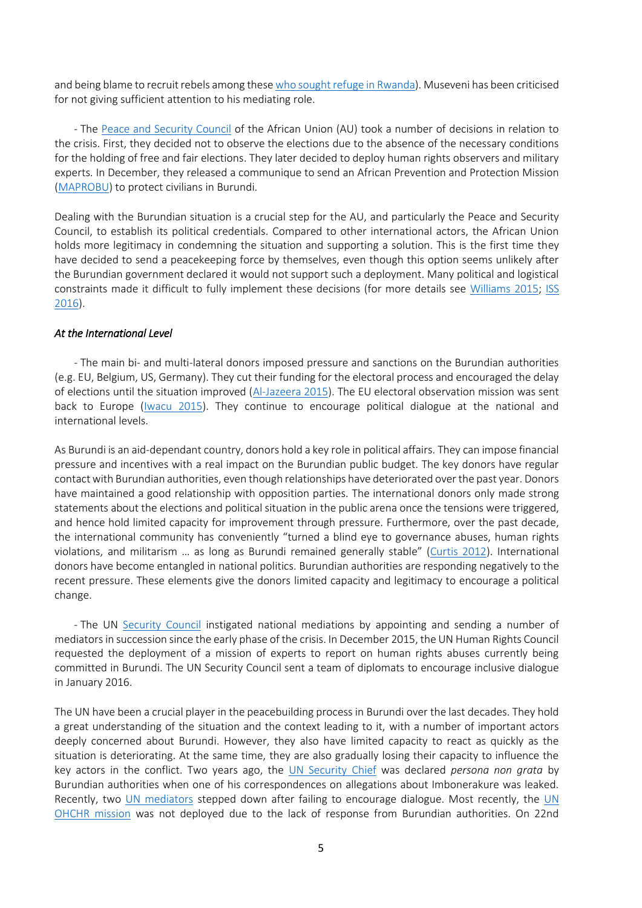and being blame to recruit rebels among thes[e who sought refuge](http://www.nytimes.com/2016/02/05/world/africa/un-report-accuses-rwanda-of-training-rebels-to-oust-burundian-leader.html?_r=0) in Rwanda). Museveni has been criticised for not giving sufficient attention to his mediating role.

- The [Peace and Security Council](http://reliefweb.int/report/burundi/burundi-communiqu-peace-and-security-council-african-union-au-its-551st-meeting) of the African Union (AU) took a number of decisions in relation to the crisis. First, they decided not to observe the elections due to the absence of the necessary conditions for the holding of free and fair elections. They later decided to deploy human rights observers and military experts. In December, they released a communique to send an African Prevention and Protection Mission [\(MAPROBU\)](http://reliefweb.int/sites/reliefweb.int/files/resources/au-press-release-burundi-21-1-2016.pdf) to protect civilians in Burundi.

Dealing with the Burundian situation is a crucial step for the AU, and particularly the Peace and Security Council, to establish its political credentials. Compared to other international actors, the African Union holds more legitimacy in condemning the situation and supporting a solution. This is the first time they have decided to send a peacekeeping force by themselves, even though this option seems unlikely after the Burundian government declared it would not support such a deployment. Many political and logistical constraints made it difficult to fully implement these decisions (for more details see [Williams 2015;](http://theglobalobservatory.org/2015/12/burundi-african-union-maprobu-arusha-accords/) [ISS](https://www.issafrica.org/uploads/PSC77_ENG.pdf)  [2016\)](https://www.issafrica.org/uploads/PSC77_ENG.pdf).

### *At the International Level*

- The main bi- and multi-lateral donors imposed pressure and sanctions on the Burundian authorities (e.g. EU, Belgium, US, Germany). They cut their funding for the electoral process and encouraged the delay of elections until the situation improved [\(Al-Jazeera 2015\)](http://www.aljazeera.com/news/2015/05/150511101156364.html). The EU electoral observation mission was sent back to Europe [\(Iwacu 2015\)](http://www.iwacu-burundi.org/lunion-europeenne-suspend-sa-mission-dobservation-electorale-au-burundi/). They continue to encourage political dialogue at the national and international levels.

As Burundi is an aid-dependant country, donors hold a key role in political affairs. They can impose financial pressure and incentives with a real impact on the Burundian public budget. The key donors have regular contact with Burundian authorities, even though relationships have deteriorated over the past year. Donors have maintained a good relationship with opposition parties. The international donors only made strong statements about the elections and political situation in the public arena once the tensions were triggered, and hence hold limited capacity for improvement through pressure. Furthermore, over the past decade, the international community has conveniently "turned a blind eye to governance abuses, human rights violations, and militarism … as long as Burundi remained generally stable" ([Curtis 2012\)](https://afraf.oxfordjournals.org/content/112/446/72.full). International donors have become entangled in national politics. Burundian authorities are responding negatively to the recent pressure. These elements give the donors limited capacity and legitimacy to encourage a political change.

- The UN [Security Council](http://www.un.org/apps/news/story.asp?NewsID=52538) instigated national mediations by appointing and sending a number of mediators in succession since the early phase of the crisis. In December 2015, the UN Human Rights Council requested the deployment of a mission of experts to report on human rights abuses currently being committed in Burundi. The UN Security Council sent a team of diplomats to encourage inclusive dialogue in January 2016.

The UN have been a crucial player in the peacebuilding process in Burundi over the last decades. They hold a great understanding of the situation and the context leading to it, with a number of important actors deeply concerned about Burundi. However, they also have limited capacity to react as quickly as the situation is deteriorating. At the same time, they are also gradually losing their capacity to influence the key actors in the conflict. Two years ago, the [UN Security Chief](http://www.aljazeera.com/news/africa/2014/04/burundi-expels-un-official-over-arms-report-2014417144546195161.html) was declared *persona non grata* by Burundian authorities when one of his correspondences on allegations about Imbonerakure was leaked. Recently, two [UN mediators](http://www.bbc.co.uk/news/world-africa-33091461) stepped down after failing to encourage dialogue. Most recently, the [UN](http://www.un.org/apps/news/story.asp?NewsID=53097)  [OHCHR mission](http://www.un.org/apps/news/story.asp?NewsID=53097) was not deployed due to the lack of response from Burundian authorities. On 22nd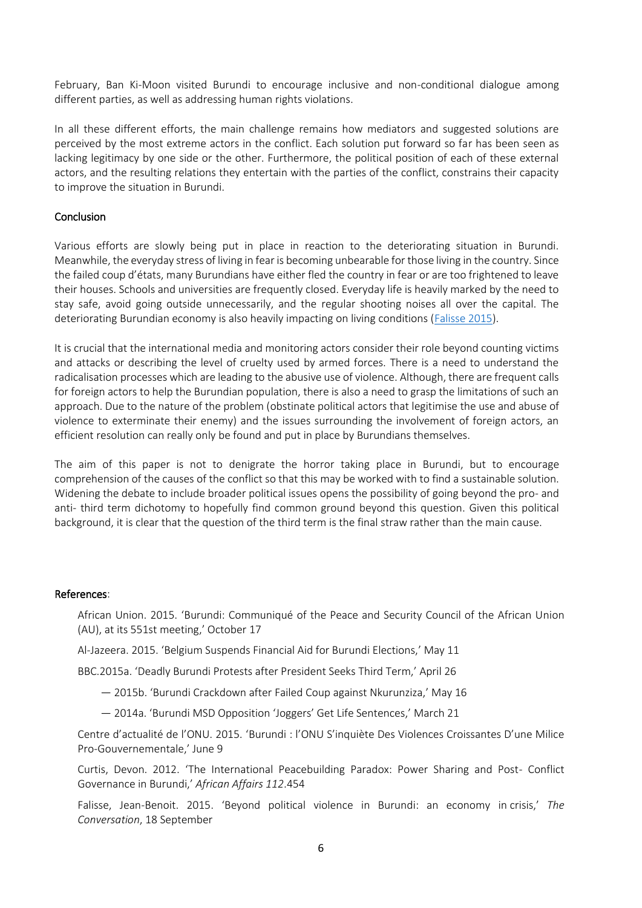February, Ban Ki-Moon visited Burundi to encourage inclusive and non-conditional dialogue among different parties, as well as addressing human rights violations.

In all these different efforts, the main challenge remains how mediators and suggested solutions are perceived by the most extreme actors in the conflict. Each solution put forward so far has been seen as lacking legitimacy by one side or the other. Furthermore, the political position of each of these external actors, and the resulting relations they entertain with the parties of the conflict, constrains their capacity to improve the situation in Burundi.

### Conclusion

Various efforts are slowly being put in place in reaction to the deteriorating situation in Burundi. Meanwhile, the everyday stress of living in fear is becoming unbearable for those living in the country. Since the failed coup d'états, many Burundians have either fled the country in fear or are too frightened to leave their houses. Schools and universities are frequently closed. Everyday life is heavily marked by the need to stay safe, avoid going outside unnecessarily, and the regular shooting noises all over the capital. The deteriorating Burundian economy is also heavily impacting on living conditions [\(Falisse 2015\)](http://theconversation.com/beyond-political-violence-in-burundi-an-economy-in-crisis-47714).

It is crucial that the international media and monitoring actors consider their role beyond counting victims and attacks or describing the level of cruelty used by armed forces. There is a need to understand the radicalisation processes which are leading to the abusive use of violence. Although, there are frequent calls for foreign actors to help the Burundian population, there is also a need to grasp the limitations of such an approach. Due to the nature of the problem (obstinate political actors that legitimise the use and abuse of violence to exterminate their enemy) and the issues surrounding the involvement of foreign actors, an efficient resolution can really only be found and put in place by Burundians themselves.

The aim of this paper is not to denigrate the horror taking place in Burundi, but to encourage comprehension of the causes of the conflict so that this may be worked with to find a sustainable solution. Widening the debate to include broader political issues opens the possibility of going beyond the pro- and anti- third term dichotomy to hopefully find common ground beyond this question. Given this political background, it is clear that the question of the third term is the final straw rather than the main cause.

### References:

African Union. 2015. 'Burundi: Communiqué of the Peace and Security Council of the African Union (AU), at its 551st meeting,' October 17

Al-Jazeera. 2015. 'Belgium Suspends Financial Aid for Burundi Elections,' May 11

BBC.2015a. 'Deadly Burundi Protests after President Seeks Third Term,' April 26

— 2015b. 'Burundi Crackdown after Failed Coup against Nkurunziza,' May 16

— 2014a. 'Burundi MSD Opposition 'Joggers' Get Life Sentences,' March 21

Centre d'actualité de l'ONU. 2015. 'Burundi : l'ONU S'inquiète Des Violences Croissantes D'une Milice Pro-Gouvernementale,' June 9

Curtis, Devon. 2012. 'The International Peacebuilding Paradox: Power Sharing and Post- Conflict Governance in Burundi,' *African Affairs 112*.454

Falisse, Jean-Benoit. 2015. 'Beyond political violence in Burundi: an economy in crisis,' *The Conversation*, 18 September